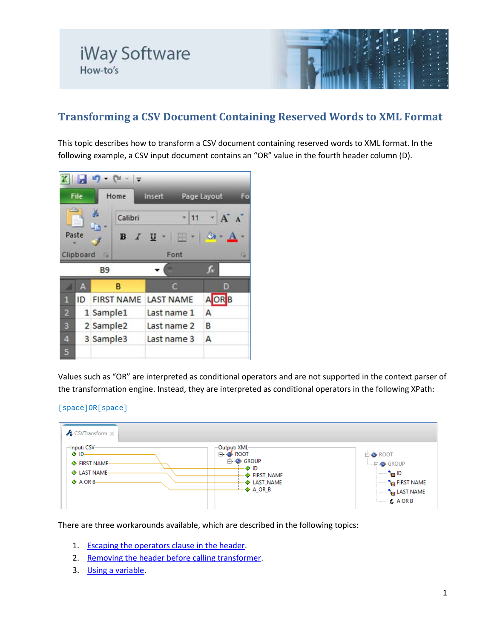# **Transforming a CSV Document Containing Reserved Words to XML Format**

This topic describes how to transform a CSV document containing reserved words to XML format. In the following example, a CSV input document contains an "OR" value in the fourth header column (D).



Values such as "OR" are interpreted as conditional operators and are not supported in the context parser of the transformation engine. Instead, they are interpreted as conditional operators in the following XPath:

#### [space]OR[space]



There are three workarounds available, which are described in the following topics:

- 1. Escaping [the operators clause in the header.](#page-1-0)
- 2. Removing the header [before calling transformer.](#page-1-1)
- 3. Using a [variable.](#page-1-2)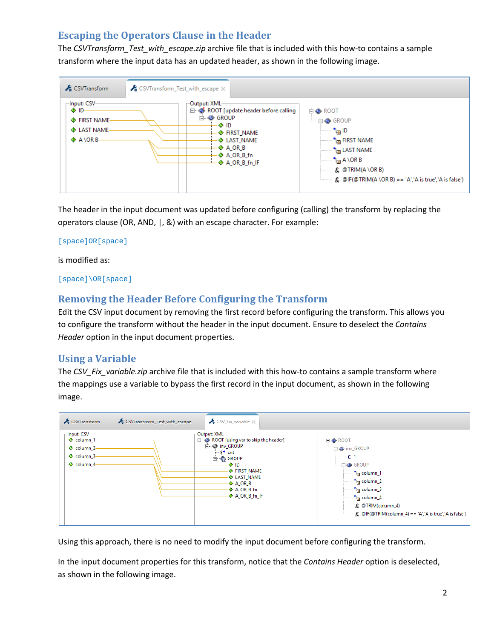## <span id="page-1-0"></span>**Escaping the Operators Clause in the Header**

The *CSVTransform\_Test\_with\_escape.zip* archive file that is included with this how-to contains a sample transform where the input data has an updated header, as shown in the following image.



The header in the input document was updated before configuring (calling) the transform by replacing the operators clause (OR, AND, |, &) with an escape character. For example:

#### [space]OR[space]

is modified as:

#### [space]\OR[space]

## <span id="page-1-1"></span>**Removing the Header Before Configuring the Transform**

Edit the CSV input document by removing the first record before configuring the transform. This allows you to configure the transform without the header in the input document. Ensure to deselect the *Contains Header* option in the input document properties.

### <span id="page-1-2"></span>**Using a Variable**

The *CSV\_Fix\_variable.zip* archive file that is included with this how-to contains a sample transform where the mappings use a variable to bypass the first record in the input document, as shown in the following image.



Using this approach, there is no need to modify the input document before configuring the transform.

In the input document properties for this transform, notice that the *Contains Header* option is deselected, as shown in the following image.